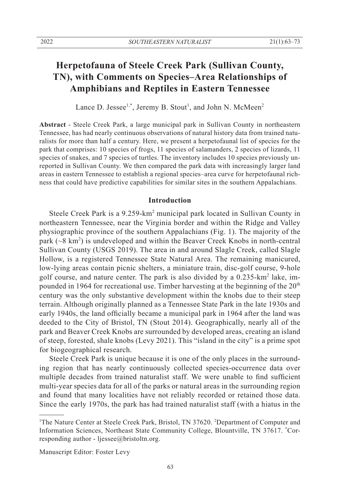# **Herpetofauna of Steele Creek Park (Sullivan County, TN), with Comments on Species–Area Relationships of Amphibians and Reptiles in Eastern Tennessee**

Lance D. Jessee<sup>1,\*</sup>, Jeremy B. Stout<sup>1</sup>, and John N. McMeen<sup>2</sup>

**Abstract** - Steele Creek Park, a large municipal park in Sullivan County in northeastern Tennessee, has had nearly continuous observations of natural history data from trained naturalists for more than half a century. Here, we present a herpetofaunal list of species for the park that comprises: 10 species of frogs, 11 species of salamanders, 2 species of lizards, 11 species of snakes, and 7 species of turtles. The inventory includes 10 species previously unreported in Sullivan County. We then compared the park data with increasingly larger land areas in eastern Tennessee to establish a regional species–area curve for herpetofaunal richness that could have predictive capabilities for similar sites in the southern Appalachians.

### **Introduction**

Steele Creek Park is a 9.259-km<sup>2</sup> municipal park located in Sullivan County in northeastern Tennessee, near the Virginia border and within the Ridge and Valley physiographic province of the southern Appalachians (Fig. 1). The majority of the park  $({\sim}8 \text{ km}^2)$  is undeveloped and within the Beaver Creek Knobs in north-central Sullivan County (USGS 2019). The area in and around Slagle Creek, called Slagle Hollow, is a registered Tennessee State Natural Area. The remaining manicured, low-lying areas contain picnic shelters, a miniature train, disc-golf course, 9-hole golf course, and nature center. The park is also divided by a 0.235-km<sup>2</sup> lake, impounded in 1964 for recreational use. Timber harvesting at the beginning of the  $20<sup>th</sup>$ century was the only substantive development within the knobs due to their steep terrain. Although originally planned as a Tennessee State Park in the late 1930s and early 1940s, the land officially became a municipal park in 1964 after the land was deeded to the City of Bristol, TN (Stout 2014). Geographically, nearly all of the park and Beaver Creek Knobs are surrounded by developed areas, creating an island of steep, forested, shale knobs (Levy 2021). This "island in the city" is a prime spot for biogeographical research.

 Steele Creek Park is unique because it is one of the only places in the surrounding region that has nearly continuously collected species-occurrence data over multiple decades from trained naturalist staff. We were unable to find sufficient multi-year species data for all of the parks or natural areas in the surrounding region and found that many localities have not reliably recorded or retained those data. Since the early 1970s, the park has had trained naturalist staff (with a hiatus in the

Manuscript Editor: Foster Levy

<sup>&</sup>lt;sup>1</sup>The Nature Center at Steele Creek Park, Bristol, TN 37620. <sup>2</sup>Department of Computer and Information Sciences, Northeast State Community College, Blountville, TN 37617. \* Corresponding author - ljessee@bristoltn.org.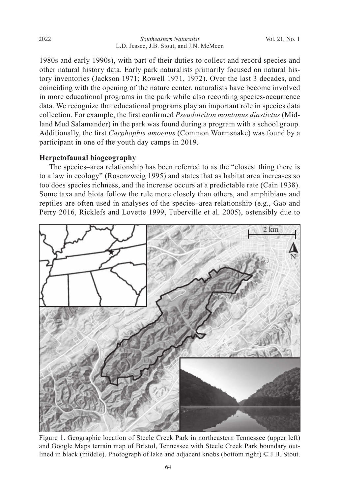1980s and early 1990s), with part of their duties to collect and record species and other natural history data. Early park naturalists primarily focused on natural history inventories (Jackson 1971; Rowell 1971, 1972). Over the last 3 decades, and coinciding with the opening of the nature center, naturalists have become involved in more educational programs in the park while also recording species-occurrence data. We recognize that educational programs play an important role in species data collection. For example, the first confirmed *Pseudotriton montanus diastictus* (Midland Mud Salamander) in the park was found during a program with a school group. Additionally, the first *Carphophis amoenus* (Common Wormsnake) was found by a participant in one of the youth day camps in 2019.

# **Herpetofaunal biogeography**

 The species–area relationship has been referred to as the "closest thing there is to a law in ecology" (Rosenzweig 1995) and states that as habitat area increases so too does species richness, and the increase occurs at a predictable rate (Cain 1938). Some taxa and biota follow the rule more closely than others, and amphibians and reptiles are often used in analyses of the species–area relationship (e.g., Gao and Perry 2016, Ricklefs and Lovette 1999, Tuberville et al. 2005), ostensibly due to



Figure 1. Geographic location of Steele Creek Park in northeastern Tennessee (upper left) and Google Maps terrain map of Bristol, Tennessee with Steele Creek Park boundary outlined in black (middle). Photograph of lake and adjacent knobs (bottom right) © J.B. Stout.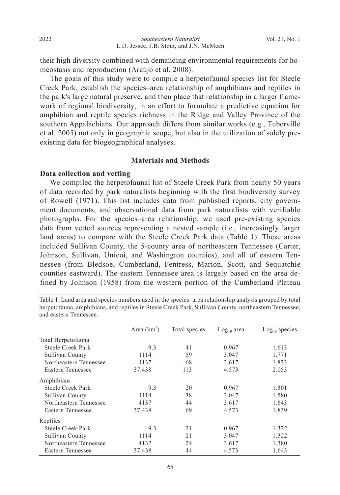their high diversity combined with demanding environmental requirements for homeostasis and reproduction (Araújo et al. 2008).

 The goals of this study were to compile a herpetofaunal species list for Steele Creek Park, establish the species–area relationship of amphibians and reptiles in the park's large natural preserve, and then place that relationship in a larger framework of regional biodiversity, in an effort to formulate a predictive equation for amphibian and reptile species richness in the Ridge and Valley Province of the southern Appalachians. Our approach differs from similar works (e.g., Tuberville et al. 2005) not only in geographic scope, but also in the utilization of solely preexisting data for biogeographical analyses.

# **Materials and Methods**

### **Data collection and vetting**

We compiled the herpetofaunal list of Steele Creek Park from nearly 50 years of data recorded by park naturalists beginning with the first biodiversity survey of Rowell (1971). This list includes data from published reports, city government documents, and observational data from park naturalists with verifiable photographs. For the species–area relationship, we used pre-existing species data from vetted sources representing a nested sample (i.e., increasingly larger land areas) to compare with the Steele Creek Park data (Table 1). These areas included Sullivan County, the 5-county area of northeastern Tennessee (Carter, Johnson, Sullivan, Unicoi, and Washington counties), and all of eastern Tennessee (from Bledsoe, Cumberland, Fentress, Marion, Scott, and Sequatchie counties eastward). The eastern Tennessee area is largely based on the area defined by Johnson (1958) from the western portion of the Cumberland Plateau

Table 1. Land area and species numbers used in the species–area relationship analysis grouped by total herpetofauna, amphibians, and reptiles in Steele Creek Park, Sullivan County, northeastern Tennessee, and eastern Tennessee.

|                        | Area $(km2)$ | Total species | $Log10$ area | $Log10$ species |
|------------------------|--------------|---------------|--------------|-----------------|
| Total Herpetofauna     |              |               |              |                 |
| Steele Creek Park      | 9.3          | 41            | 0.967        | 1.613           |
| Sullivan County        | 1114         | 59            | 3.047        | 1.771           |
| Northeastern Tennessee | 4137         | 68            | 3.617        | 1.833           |
| Eastern Tennessee      | 37,438       | 113           | 4.573        | 2.053           |
| Amphibians             |              |               |              |                 |
| Steele Creek Park      | 9.3          | 20            | 0.967        | 1.301           |
| Sullivan County        | 1114         | 38            | 3.047        | 1.580           |
| Northeastern Tennessee | 4137         | 44            | 3.617        | 1.643           |
| Eastern Tennessee      | 37,438       | 69            | 4.573        | 1.839           |
| Reptiles               |              |               |              |                 |
| Steele Creek Park      | 9.3          | 21            | 0.967        | 1.322           |
| Sullivan County        | 1114         | 21            | 3.047        | 1.322           |
| Northeastern Tennessee | 4137         | 24            | 3.617        | 1.380           |
| Eastern Tennessee      | 37.438       | 44            | 4.573        | 1.643           |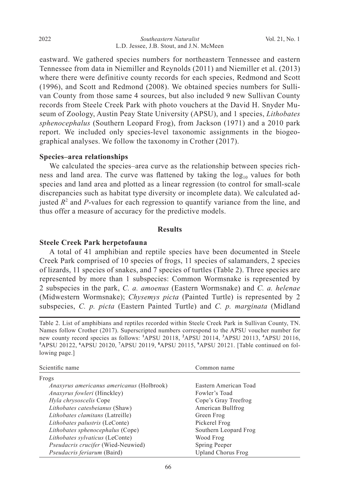eastward. We gathered species numbers for northeastern Tennessee and eastern Tennessee from data in Niemiller and Reynolds (2011) and Niemiller et al. (2013) where there were definitive county records for each species, Redmond and Scott (1996), and Scott and Redmond (2008). We obtained species numbers for Sullivan County from those same 4 sources, but also included 9 new Sullivan County records from Steele Creek Park with photo vouchers at the David H. Snyder Museum of Zoology, Austin Peay State University (APSU), and 1 species, *Lithobates sphenocephalus* (Southern Leopard Frog), from Jackson (1971) and a 2010 park report. We included only species-level taxonomic assignments in the biogeographical analyses. We follow the taxonomy in Crother (2017).

### **Species–area relationships**

 We calculated the species–area curve as the relationship between species richness and land area. The curve was flattened by taking the  $log_{10}$  values for both species and land area and plotted as a linear regression (to control for small-scale discrepancies such as habitat type diversity or incomplete data). We calculated adjusted  $R<sup>2</sup>$  and *P*-values for each regression to quantify variance from the line, and thus offer a measure of accuracy for the predictive models.

## **Results**

## **Steele Creek Park herpetofauna**

 A total of 41 amphibian and reptile species have been documented in Steele Creek Park comprised of 10 species of frogs, 11 species of salamanders, 2 species of lizards, 11 species of snakes, and 7 species of turtles (Table 2). Three species are represented by more than 1 subspecies: Common Wormsnake is represented by 2 subspecies in the park, *C. a. amoenus* (Eastern Wormsnake) and *C. a. helenae* (Midwestern Wormsnake); *Chysemys picta* (Painted Turtle) is represented by 2 subspecies, *C. p. picta* (Eastern Painted Turtle) and *C. p. marginata* (Midland

Table 2. List of amphibians and reptiles recorded within Steele Creek Park in Sullivan County, TN. Names follow Crother (2017). Superscripted numbers correspond to the APSU voucher number for new county record species as follows: **<sup>1</sup>** APSU 20118, **<sup>2</sup>** APSU 20114, **<sup>3</sup>** APSU 20113, **<sup>4</sup>** APSU 20116, **5** APSU 20122, **<sup>6</sup>** APSU 20120, **<sup>7</sup>** APSU 20119, **<sup>8</sup>** APSU 20115, **<sup>9</sup>** APSU 20121. [Table continued on following page.]

| Scientific name                                  | Common name           |  |
|--------------------------------------------------|-----------------------|--|
| Frogs                                            |                       |  |
| <i>Anaxyrus americanus americanus</i> (Holbrook) | Eastern American Toad |  |
| <i>Anaxyrus fowleri</i> (Hinckley)               | Fowler's Toad         |  |
| Hyla chrysoscelis Cope                           | Cope's Gray Treefrog  |  |
| Lithobates catesbeianus (Shaw)                   | American Bullfrog     |  |
| Lithobates clamitans (Latreille)                 | Green Frog            |  |
| Lithobates palustris (LeConte)                   | Pickerel Frog         |  |
| Lithobates sphenocephalus (Cope)                 | Southern Leopard Frog |  |
| Lithobates sylvaticus (LeConte)                  | Wood Frog             |  |
| <i>Pseudacris crucifer</i> (Wied-Neuwied)        | Spring Peeper         |  |
| <i>Pseudacris feriarum</i> (Baird)               | Upland Chorus Frog    |  |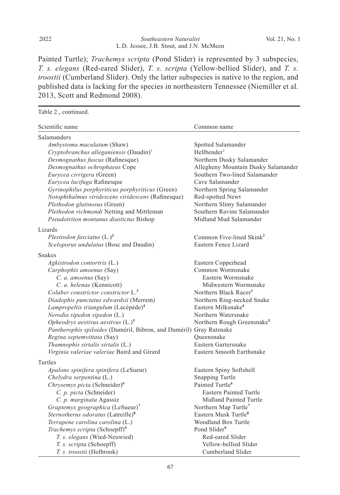Painted Turtle); *Trachemys scripta* (Pond Slider) is represented by 3 subspecies, *T. s. elegans* (Red-eared Slider), *T. s. scripta* (Yellow-bellied Slider), and *T. s. troostii* (Cumberland Slider). Only the latter subspecies is native to the region, and published data is lacking for the species in northeastern Tennessee (Niemiller et al. 2013, Scott and Redmond 2008).

| Table 2., continued.                                                                                        |                                                              |
|-------------------------------------------------------------------------------------------------------------|--------------------------------------------------------------|
| Scientific name                                                                                             | Common name                                                  |
| <b>Salamanders</b>                                                                                          |                                                              |
| Ambystoma maculatum (Shaw)                                                                                  | Spotted Salamander                                           |
| Cryptobranchus alleganiensis (Daudin) <sup>1</sup>                                                          | Hellbender <sup>1</sup>                                      |
| Desmognathus fuscus (Rafinesque)                                                                            | Northern Dusky Salamander                                    |
| Desmognathus ochrophaeus Cope                                                                               | Allegheny Mountain Dusky Salamander                          |
| Eurycea cirrigera (Green)                                                                                   | Southern Two-lined Salamander                                |
| Eurycea lucifuga Rafinesque                                                                                 | Cave Salamander                                              |
| Gyrinophilus porphyriticus porphyriticus (Green)                                                            | Northern Spring Salamander                                   |
| Notophthalmus viridescens viridescens (Rafinesque)                                                          | Red-spotted Newt                                             |
| Plethodon glutinosus (Green)                                                                                | Northern Slimy Salamander                                    |
| Plethodon richmondi Netting and Mittleman                                                                   | Southern Ravine Salamander                                   |
| Pseudotriton montanus diastictus Bishop                                                                     | Midland Mud Salamander                                       |
| Lizards                                                                                                     |                                                              |
| Plestiodon fasciatus $(L.)^2$                                                                               | Common Five-lined Skink <sup>2</sup>                         |
| Sceloporus undulatus (Bosc and Daudin)                                                                      | Eastern Fence Lizard                                         |
| <b>Snakes</b>                                                                                               |                                                              |
| Agkistrodon contortrix (L.)                                                                                 | Eastern Copperhead                                           |
| Carphophis amoenus (Say)                                                                                    | Common Wormsnake                                             |
| C. a. amoenus (Say)                                                                                         | Eastern Wormsnake                                            |
| C. a. helenae (Kennicott)                                                                                   | Midwestern Wormsnake                                         |
| Coluber constrictor constrictor $L^3$ .                                                                     | Northern Black Racer <sup>3</sup>                            |
| Diadophis punctatus edwardsii (Merrem)                                                                      | Northern Ring-necked Snake<br>Eastern Milksnake <sup>4</sup> |
| Lampropeltis triangulum (Lacépède) <sup>4</sup>                                                             | Northern Watersnake                                          |
| Nerodia sipedon sipedon (L.)                                                                                |                                                              |
| Opheodrys aestivus aestivus $(L.)^5$<br>Pantherophis spiloides (Duméril, Bibron, and Duméril) Gray Ratsnake | Northern Rough Greensnake <sup>5</sup>                       |
| Regina septemvittata (Say)                                                                                  | Oueensnake                                                   |
| Thamnophis sirtalis sirtalis $(L)$                                                                          | Eastern Gartersnake                                          |
| Virginia valeriae valeriae Baird and Girard                                                                 | Eastern Smooth Earthsnake                                    |
| Turtles                                                                                                     |                                                              |
|                                                                                                             |                                                              |
| Apalone spinifera spinifera (LeSueur)<br>Chelydra serpentina (L.)                                           | Eastern Spiny Softshell<br>Snapping Turtle                   |
| Chrysemys picta (Schneider) <sup>6</sup>                                                                    | Painted Turtle <sup>6</sup>                                  |
| C. p. picta (Schneider)                                                                                     | <b>Eastern Painted Turtle</b>                                |
| C. p. marginata Agassiz                                                                                     | Midland Painted Turtle                                       |
| Graptemys geographica (LeSueur) <sup>7</sup>                                                                | Northern Map Turtle <sup>7</sup>                             |
| Sternotherus odoratus (Latreille) <sup>8</sup>                                                              | Eastern Musk Turtle <sup>8</sup>                             |
| Terrapene carolina carolina (L.)                                                                            | Woodland Box Turtle                                          |
| Trachemys scripta (Schoepff) <sup>9</sup>                                                                   | Pond Slider <sup>9</sup>                                     |
| T. s. elegans (Wied-Neuwied)                                                                                | Red-eared Slider                                             |
| T. s. scripta (Schoepff)                                                                                    | Yellow-bellied Slider                                        |
| T. s. troostii (Holbrook)                                                                                   | Cumberland Slider                                            |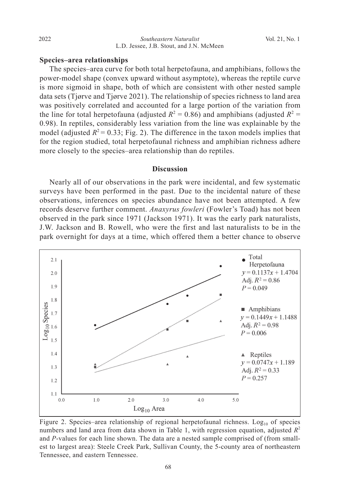# **Species–area relationships**

The species–area curve for both total herpetofauna, and amphibians, follows the power-model shape (convex upward without asymptote), whereas the reptile curve is more sigmoid in shape, both of which are consistent with other nested sample data sets (Tjørve and Tjørve 2021). The relationship of species richness to land area was positively correlated and accounted for a large portion of the variation from the line for total herpetofauna (adjusted  $R^2 = 0.86$ ) and amphibians (adjusted  $R^2 =$ 0.98). In reptiles, considerably less variation from the line was explainable by the model (adjusted  $R^2 = 0.33$ ; Fig. 2). The difference in the taxon models implies that for the region studied, total herpetofaunal richness and amphibian richness adhere more closely to the species–area relationship than do reptiles.

#### **Discussion**

 Nearly all of our observations in the park were incidental, and few systematic surveys have been performed in the past. Due to the incidental nature of these observations, inferences on species abundance have not been attempted. A few records deserve further comment. *Anaxyrus fowleri* (Fowler's Toad) has not been observed in the park since 1971 (Jackson 1971). It was the early park naturalists, J.W. Jackson and B. Rowell, who were the first and last naturalists to be in the park overnight for days at a time, which offered them a better chance to observe



Figure 2. Species–area relationship of regional herpetofaunal richness.  $Log_{10}$  of species numbers and land area from data shown in Table 1, with regression equation, adjusted  $R^2$ and *P*-values for each line shown. The data are a nested sample comprised of (from smallest to largest area): Steele Creek Park, Sullivan County, the 5-county area of northeastern Tennessee, and eastern Tennessee.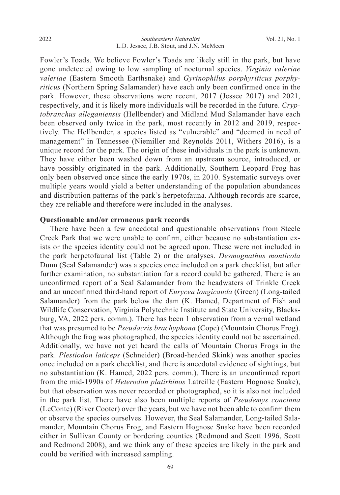Fowler's Toads. We believe Fowler's Toads are likely still in the park, but have gone undetected owing to low sampling of nocturnal species. *Virginia valeriae valeriae* (Eastern Smooth Earthsnake) and *Gyrinophilus porphyriticus porphyriticus* (Northern Spring Salamander) have each only been confirmed once in the park. However, these observations were recent, 2017 (Jessee 2017) and 2021, respectively, and it is likely more individuals will be recorded in the future. *Cryptobranchus alleganiensis* (Hellbender) and Midland Mud Salamander have each been observed only twice in the park, most recently in 2012 and 2019, respectively. The Hellbender, a species listed as "vulnerable" and "deemed in need of management" in Tennessee (Niemiller and Reynolds 2011, Withers 2016), is a unique record for the park. The origin of these individuals in the park is unknown. They have either been washed down from an upstream source, introduced, or have possibly originated in the park. Additionally, Southern Leopard Frog has only been observed once since the early 1970s, in 2010. Systematic surveys over multiple years would yield a better understanding of the population abundances and distribution patterns of the park's herpetofauna. Although records are scarce, they are reliable and therefore were included in the analyses.

### **Questionable and/or erroneous park records**

 There have been a few anecdotal and questionable observations from Steele Creek Park that we were unable to confirm, either because no substantiation exists or the species identity could not be agreed upon. These were not included in the park herpetofaunal list (Table 2) or the analyses. *Desmognathus monticola* Dunn (Seal Salamander) was a species once included on a park checklist, but after further examination, no substantiation for a record could be gathered. There is an unconfirmed report of a Seal Salamander from the headwaters of Trinkle Creek and an unconfirmed third-hand report of *Eurycea longicauda* (Green) (Long-tailed Salamander) from the park below the dam (K. Hamed, Department of Fish and Wildlife Conservation, Virginia Polytechnic Institute and State University, Blacksburg, VA, 2022 pers. comm.). There has been 1 observation from a vernal wetland that was presumed to be *Pseudacris brachyphona* (Cope) (Mountain Chorus Frog). Although the frog was photographed, the species identity could not be ascertained. Additionally, we have not yet heard the calls of Mountain Chorus Frogs in the park. *Plestiodon laticeps* (Schneider) (Broad-headed Skink) was another species once included on a park checklist, and there is anecdotal evidence of sightings, but no substantiation (K. Hamed, 2022 pers. comm.). There is an unconfirmed report from the mid-1990s of *Heterodon platirhinos* Latreille (Eastern Hognose Snake), but that observation was never recorded or photographed, so it is also not included in the park list. There have also been multiple reports of *Pseudemys concinna* (LeConte) (River Cooter) over the years, but we have not been able to confirm them or observe the species ourselves. However, the Seal Salamander, Long-tailed Salamander, Mountain Chorus Frog, and Eastern Hognose Snake have been recorded either in Sullivan County or bordering counties (Redmond and Scott 1996, Scott and Redmond 2008), and we think any of these species are likely in the park and could be verified with increased sampling.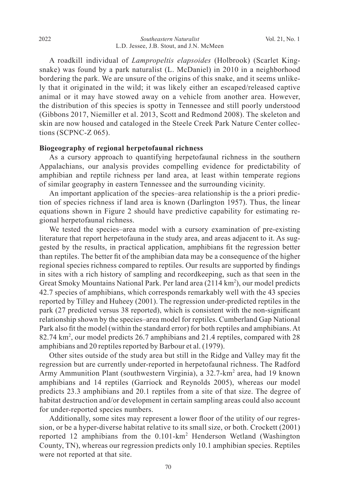A roadkill individual of *Lampropeltis elapsoides* (Holbrook) (Scarlet Kingsnake) was found by a park naturalist (L. McDaniel) in 2010 in a neighborhood bordering the park. We are unsure of the origins of this snake, and it seems unlikely that it originated in the wild; it was likely either an escaped/released captive animal or it may have stowed away on a vehicle from another area. However, the distribution of this species is spotty in Tennessee and still poorly understood (Gibbons 2017, Niemiller et al. 2013, Scott and Redmond 2008). The skeleton and skin are now housed and cataloged in the Steele Creek Park Nature Center collections (SCPNC-Z 065).

## **Biogeography of regional herpetofaunal richness**

 As a cursory approach to quantifying herpetofaunal richness in the southern Appalachians, our analysis provides compelling evidence for predictability of amphibian and reptile richness per land area, at least within temperate regions of similar geography in eastern Tennessee and the surrounding vicinity.

 An important application of the species–area relationship is the a priori prediction of species richness if land area is known (Darlington 1957). Thus, the linear equations shown in Figure 2 should have predictive capability for estimating regional herpetofaunal richness.

 We tested the species–area model with a cursory examination of pre-existing literature that report herpetofauna in the study area, and areas adjacent to it. As suggested by the results, in practical application, amphibians fit the regression better than reptiles. The better fit of the amphibian data may be a consequence of the higher regional species richness compared to reptiles. Our results are supported by findings in sites with a rich history of sampling and recordkeeping, such as that seen in the Great Smoky Mountains National Park. Per land area (2114 km<sup>2</sup>), our model predicts 42.7 species of amphibians, which corresponds remarkably well with the 43 species reported by Tilley and Huheey (2001). The regression under-predicted reptiles in the park (27 predicted versus 38 reported), which is consistent with the non-significant relationship shown by the species–area model for reptiles. Cumberland Gap National Park also fit the model (within the standard error) for both reptiles and amphibians. At 82.74 km<sup>2</sup>, our model predicts 26.7 amphibians and 21.4 reptiles, compared with 28 amphibians and 20 reptiles reported by Barbour et al. (1979).

 Other sites outside of the study area but still in the Ridge and Valley may fit the regression but are currently under-reported in herpetofaunal richness. The Radford Army Ammunition Plant (southwestern Virginia), a 32.7-km<sup>2</sup> area, had 19 known amphibians and 14 reptiles (Garriock and Reynolds 2005), whereas our model predicts 23.3 amphibians and 20.1 reptiles from a site of that size. The degree of habitat destruction and/or development in certain sampling areas could also account for under-reported species numbers.

 Additionally, some sites may represent a lower floor of the utility of our regression, or be a hyper-diverse habitat relative to its small size, or both. Crockett (2001) reported 12 amphibians from the 0.101-km<sup>2</sup> Henderson Wetland (Washington County, TN), whereas our regression predicts only 10.1 amphibian species. Reptiles were not reported at that site.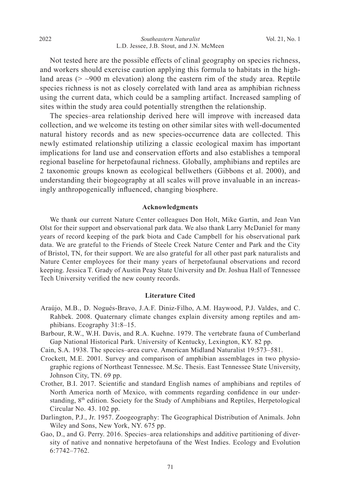Not tested here are the possible effects of clinal geography on species richness, and workers should exercise caution applying this formula to habitats in the highland areas ( $>$  ~900 m elevation) along the eastern rim of the study area. Reptile species richness is not as closely correlated with land area as amphibian richness using the current data, which could be a sampling artifact. Increased sampling of sites within the study area could potentially strengthen the relationship.

 The species–area relationship derived here will improve with increased data collection, and we welcome its testing on other similar sites with well-documented natural history records and as new species-occurrence data are collected. This newly estimated relationship utilizing a classic ecological maxim has important implications for land use and conservation efforts and also establishes a temporal regional baseline for herpetofaunal richness. Globally, amphibians and reptiles are 2 taxonomic groups known as ecological bellwethers (Gibbons et al. 2000), and understanding their biogeography at all scales will prove invaluable in an increasingly anthropogenically influenced, changing biosphere.

#### **Acknowledgments**

 We thank our current Nature Center colleagues Don Holt, Mike Gartin, and Jean Van Olst for their support and observational park data. We also thank Larry McDaniel for many years of record keeping of the park biota and Cade Campbell for his observational park data. We are grateful to the Friends of Steele Creek Nature Center and Park and the City of Bristol, TN, for their support. We are also grateful for all other past park naturalists and Nature Center employees for their many years of herpetofaunal observations and record keeping. Jessica T. Grady of Austin Peay State University and Dr. Joshua Hall of Tennessee Tech University verified the new county records.

#### **Literature Cited**

- Araújo, M.B., D. Nogués-Bravo, J.A.F. Diniz-Filho, A.M. Haywood, P.J. Valdes, and C. Rahbek. 2008. Quaternary climate changes explain diversity among reptiles and amphibians. Ecography 31:8–15.
- Barbour, R.W., W.H. Davis, and R.A. Kuehne. 1979. The vertebrate fauna of Cumberland Gap National Historical Park. University of Kentucky, Lexington, KY. 82 pp.
- Cain, S.A. 1938. The species–area curve. American Midland Naturalist 19:573–581.
- Crockett, M.E. 2001. Survey and comparison of amphibian assemblages in two physiographic regions of Northeast Tennessee. M.Sc. Thesis. East Tennessee State University, Johnson City, TN. 69 pp.
- Crother, B.I. 2017. Scientific and standard English names of amphibians and reptiles of North America north of Mexico, with comments regarding confidence in our understanding,  $8<sup>th</sup>$  edition. Society for the Study of Amphibians and Reptiles, Herpetological Circular No. 43. 102 pp.
- Darlington, P.J., Jr. 1957. Zoogeography: The Geographical Distribution of Animals. John Wiley and Sons, New York, NY. 675 pp.
- Gao, D., and G. Perry. 2016. Species–area relationships and additive partitioning of diversity of native and nonnative herpetofauna of the West Indies. Ecology and Evolution 6:7742–7762.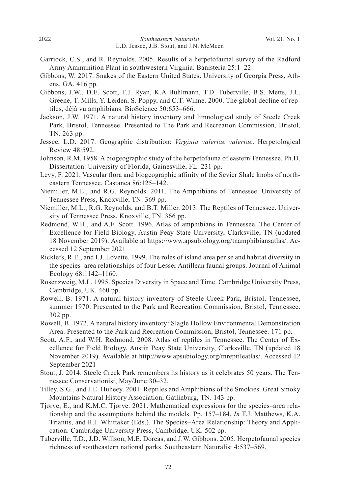- Garriock, C.S., and R. Reynolds. 2005. Results of a herpetofaunal survey of the Radford Army Ammunition Plant in southwestern Virginia. Banisteria 25:1–22.
- Gibbons, W. 2017. Snakes of the Eastern United States. University of Georgia Press, Athens, GA. 416 pp.
- Gibbons, J.W., D.E. Scott, T.J. Ryan, K.A Buhlmann, T.D. Tuberville, B.S. Metts, J.L. Greene, T. Mills, Y. Leiden, S. Poppy, and C.T. Winne. 2000. The global decline of reptiles, déjà vu amphibians. BioScience 50:653–666.
- Jackson, J.W. 1971. A natural history inventory and limnological study of Steele Creek Park, Bristol, Tennessee. Presented to The Park and Recreation Commission, Bristol, TN. 263 pp.
- Jessee, L.D. 2017. Geographic distribution: *Virginia valeriae valeriae*. Herpetological Review 48:592.
- Johnson, R.M. 1958. A biogeographic study of the herpetofauna of eastern Tennessee. Ph.D. Dissertation. University of Florida, Gainesville, FL. 231 pp.
- Levy, F. 2021. Vascular flora and biogeographic affinity of the Sevier Shale knobs of northeastern Tennessee. Castanea 86:125–142.
- Niemiller, M.L., and R.G. Reynolds. 2011. The Amphibians of Tennessee. University of Tennessee Press, Knoxville, TN. 369 pp.
- Niemiller, M.L., R.G. Reynolds, and B.T. Miller. 2013. The Reptiles of Tennessee. University of Tennessee Press, Knoxville, TN. 366 pp.
- Redmond, W.H., and A.F. Scott. 1996. Atlas of amphibians in Tennessee. The Center of Excellence for Field Biology, Austin Peay State University, Clarksville, TN (updated 18 November 2019). Available at https://www.apsubiology.org/tnamphibiansatlas/. Accessed 12 September 2021
- Ricklefs, R.E., and I.J. Lovette. 1999. The roles of island area per se and habitat diversity in the species–area relationships of four Lesser Antillean faunal groups. Journal of Animal Ecology 68:1142–1160.
- Rosenzweig, M.L. 1995. Species Diversity in Space and Time. Cambridge University Press, Cambridge, UK. 460 pp.
- Rowell, B. 1971. A natural history inventory of Steele Creek Park, Bristol, Tennessee, summer 1970. Presented to the Park and Recreation Commission, Bristol, Tennessee. 302 pp.
- Rowell, B. 1972. A natural history inventory: Slagle Hollow Environmental Demonstration Area. Presented to the Park and Recreation Commission, Bristol, Tennessee. 171 pp.
- Scott, A.F., and W.H. Redmond. 2008. Atlas of reptiles in Tennessee. The Center of Excellence for Field Biology, Austin Peay State University, Clarksville, TN (updated 18 November 2019). Available at http://www.apsubiology.org/tnreptileatlas/. Accessed 12 September 2021
- Stout, J. 2014. Steele Creek Park remembers its history as it celebrates 50 years. The Tennessee Conservationist, May/June:30–32.
- Tilley, S.G., and J.E. Huheey. 2001. Reptiles and Amphibians of the Smokies. Great Smoky Mountains Natural History Association, Gatlinburg, TN. 143 pp.
- Tjørve, E., and K.M.C. Tjørve. 2021. Mathematical expressions for the species–area relationship and the assumptions behind the models. Pp. 157–184, *In* T.J. Matthews, K.A. Triantis, and R.J. Whittaker (Eds.). The Species–Area Relationship: Theory and Application. Cambridge University Press, Cambridge, UK. 502 pp.
- Tuberville, T.D., J.D. Willson, M.E. Dorcas, and J.W. Gibbons. 2005. Herpetofaunal species richness of southeastern national parks. Southeastern Naturalist 4:537–569.